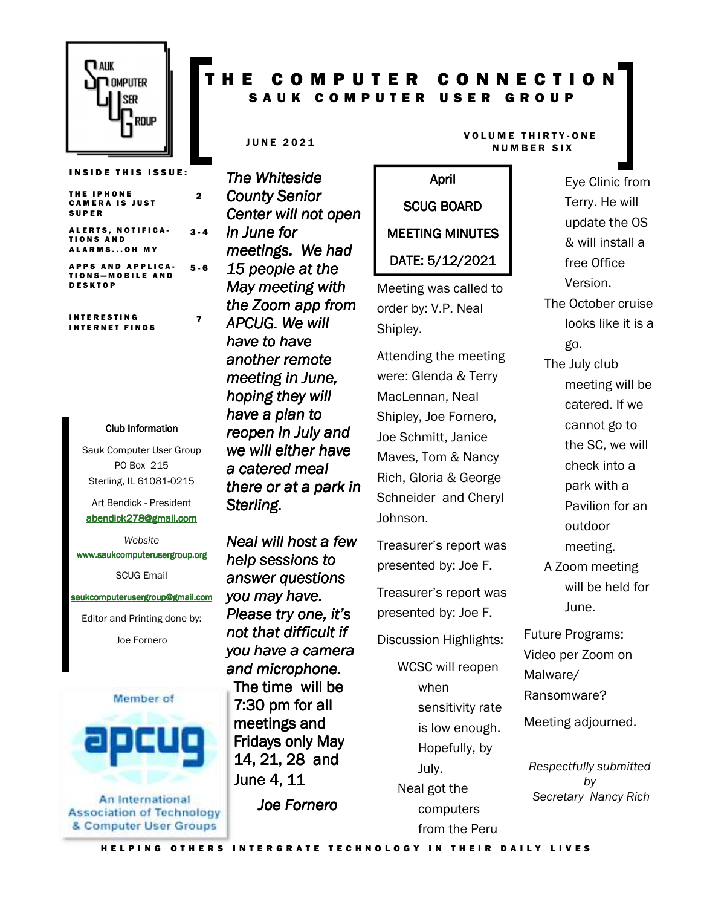

### T H E C O M P U T E R C O N N E C T I O N SAUK COMPUTER USER GROUP

THE IPHONE **CAMERA IS JUST** S U P E R ALERTS, NOTIFICA-TIONS AND  $3 - 4$ 

2

7

**INSIDE THIS ISSUE:** 

ALARMS...OH MY APPS AND APPLICA-

TIONS-MOBILE AND D E S K T O P 5 - 6

I N T E R E S T I N G **INTERNET FINDS** 

#### Club Information Club Information

Sauk Computer User Group PO Box 215 Sterling, IL 61081-0215

Art Bendick - President abendick278@gmail.com

*Website*  www.saukcomputerusergroup.org SCUG Email

saukcomputerusergroup@gmail.com

Editor and Printing done by: Joe Fornero



An International **Association of Technology** & Computer User Groups

*The Whiteside County Senior Center will not open in June for meetings. We had 15 people at the May meeting with the Zoom app from APCUG. We will have to have another remote meeting in June, hoping they will have a plan to reopen in July and we will either have a catered meal there or at a park in*  **Sterling.** 

*Neal will host a few help sessions to answer questions you may have. Please try one, it's not that difficult if you have a camera and microphone.*  The time will be 7:30 pm for all meetings and Fridays only May 14, 21, 28 and June 4, 11

*Joe Fornero* 

# April SCUG BOARD MEETING MINUTES DATE: 5/12/2021

Meeting was called to order by: V.P. Neal Shipley.

Attending the meeting were: Glenda & Terry MacLennan, Neal Shipley, Joe Fornero, Joe Schmitt, Janice Maves, Tom & Nancy Rich, Gloria & George Schneider and Cheryl Johnson.

Treasurer's report was presented by: Joe F.

Treasurer's report was presented by: Joe F.

Discussion Highlights:

WCSC will reopen when sensitivity rate is low enough. Hopefully, by July. Neal got the computers from the Peru

#### JUNE 2021 VOLUME THIRTY-ONE **NUMBER SIX**

Eye Clinic from Terry. He will update the OS & will install a free Office Version. The October cruise looks like it is a go. The July club meeting will be catered. If we cannot go to the SC, we will check into a park with a

> Pavilion for an outdoor

meeting.

A Zoom meeting will be held for June.

Future Programs: Video per Zoom on Malware/ Ransomware?

Meeting adjourned.

*Respectfully submitted by Secretary Nancy Rich*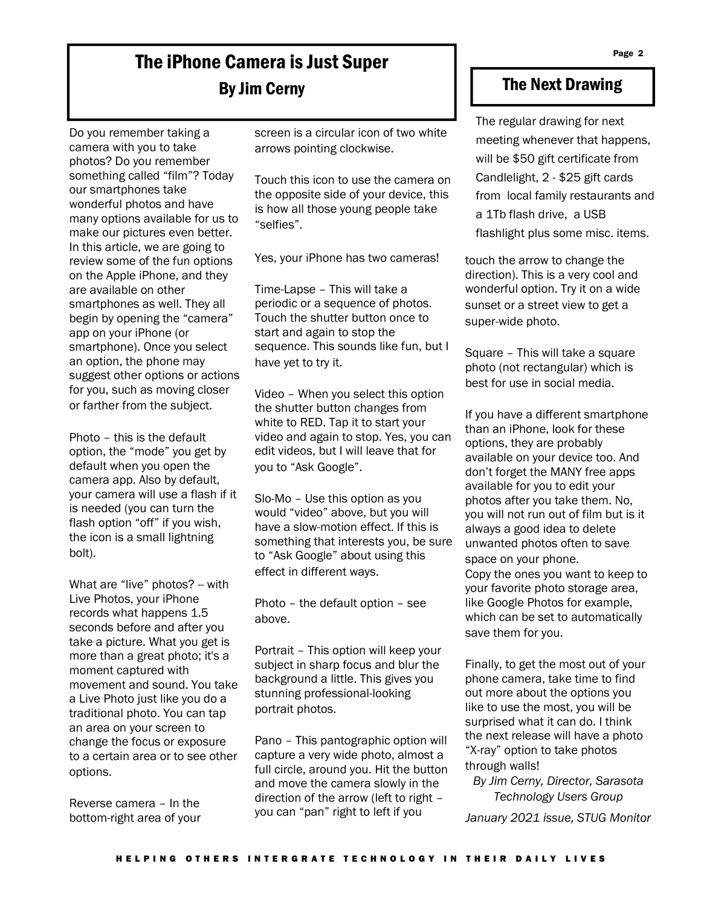# The iPhone Camera is Just Super By Jim Cerny

Do you remember taking a camera with you to take photos? Do you remember something called "film"? Today our smartphones take wonderful photos and have many options available for us to make our pictures even better. In this article, we are going to review some of the fun options on the Apple iPhone, and they are available on other smartphones as well. They all begin by opening the "camera" app on your iPhone (or smartphone). Once you select an option, the phone may suggest other options or actions for you, such as moving closer or farther from the subject.

Photo – this is the default option, the "mode" you get by default when you open the camera app. Also by default, your camera will use a flash if it is needed (you can turn the flash option "off" if you wish, the icon is a small lightning bolt).

What are "live" photos? -- with Live Photos, your iPhone records what happens 1.5 seconds before and after you take a picture. What you get is more than a great photo; it's a moment captured with movement and sound. You take a Live Photo just like you do a traditional photo. You can tap an area on your screen to change the focus or exposure to a certain area or to see other options.

Reverse camera – In the bottom-right area of your screen is a circular icon of two white arrows pointing clockwise.

Touch this icon to use the camera on the opposite side of your device, this is how all those young people take "selfies".

Yes, your iPhone has two cameras!

Time-Lapse – This will take a periodic or a sequence of photos. Touch the shutter button once to start and again to stop the sequence. This sounds like fun, but I have yet to try it.

Video – When you select this option the shutter button changes from white to RED. Tap it to start your video and again to stop. Yes, you can edit videos, but I will leave that for you to "Ask Google".

Slo-Mo – Use this option as you would "video" above, but you will have a slow-motion effect. If this is something that interests you, be sure to "Ask Google" about using this effect in different ways.

Photo – the default option – see above.

Portrait – This option will keep your subject in sharp focus and blur the background a little. This gives you stunning professional-looking portrait photos.

Pano – This pantographic option will capture a very wide photo, almost a full circle, around you. Hit the button and move the camera slowly in the direction of the arrow (left to right – you can "pan" right to left if you

### The Next Drawing

The regular drawing for next meeting whenever that happens, will be \$50 gift certificate from Candlelight, 2 - \$25 gift cards from local family restaurants and a 1Tb flash drive, a USB flashlight plus some misc. items.

touch the arrow to change the direction). This is a very cool and wonderful option. Try it on a wide sunset or a street view to get a super-wide photo.

Square – This will take a square photo (not rectangular) which is best for use in social media.

If you have a different smartphone than an iPhone, look for these options, they are probably available on your device too. And don't forget the MANY free apps available for you to edit your photos after you take them. No, you will not run out of film but is it always a good idea to delete unwanted photos often to save space on your phone.

Copy the ones you want to keep to your favorite photo storage area, like Google Photos for example, which can be set to automatically save them for you.

Finally, to get the most out of your phone camera, take time to find out more about the options you like to use the most, you will be surprised what it can do. I think the next release will have a photo "X-ray" option to take photos through walls!

*By Jim Cerny, Director, Sarasota Technology Users Group January 2021 issue, STUG Monitor*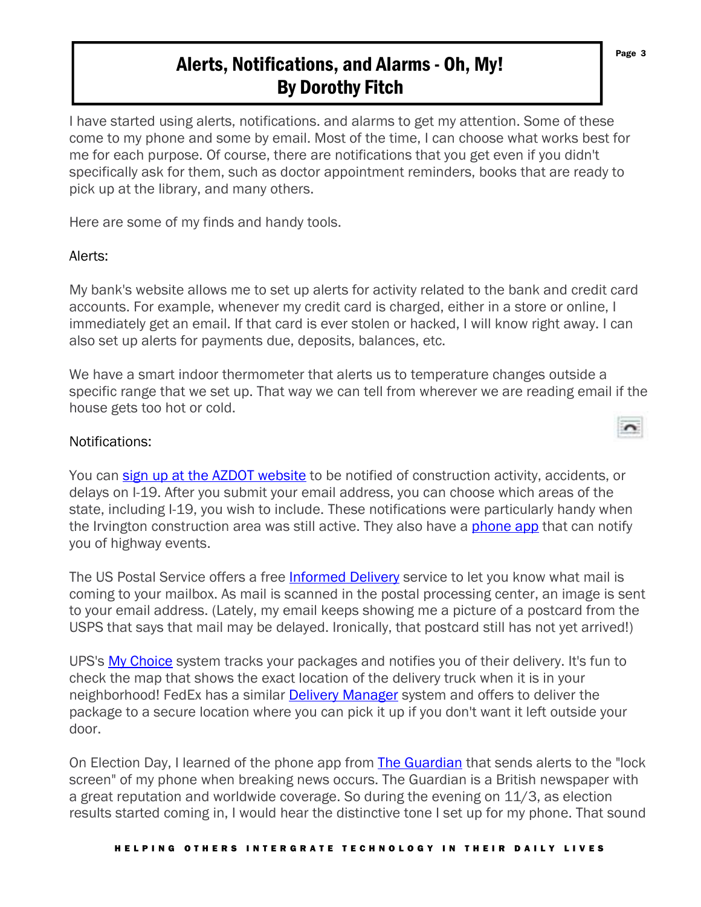# Alerts, Notifications, and Alarms - Oh, My! By Dorothy Fitch

I have started using alerts, notifications. and alarms to get my attention. Some of these come to my phone and some by email. Most of the time, I can choose what works best for me for each purpose. Of course, there are notifications that you get even if you didn't specifically ask for them, such as doctor appointment reminders, books that are ready to pick up at the library, and many others.

Here are some of my finds and handy tools.

### Alerts:

My bank's website allows me to set up alerts for activity related to the bank and credit card accounts. For example, whenever my credit card is charged, either in a store or online, I immediately get an email. If that card is ever stolen or hacked, I will know right away. I can also set up alerts for payments due, deposits, balances, etc.

We have a smart indoor thermometer that alerts us to temperature changes outside a specific range that we set up. That way we can tell from wherever we are reading email if the house gets too hot or cold.

### Notifications:

You can sign up at the AZDOT website to be notified of construction activity, accidents, or delays on I-19. After you submit your email address, you can choose which areas of the state, including I-19, you wish to include. These notifications were particularly handy when the Irvington construction area was still active. They also have a phone app that can notify you of highway events.

The US Postal Service offers a free Informed Delivery service to let you know what mail is coming to your mailbox. As mail is scanned in the postal processing center, an image is sent to your email address. (Lately, my email keeps showing me a picture of a postcard from the USPS that says that mail may be delayed. Ironically, that postcard still has not yet arrived!)

UPS's My Choice system tracks your packages and notifies you of their delivery. It's fun to check the map that shows the exact location of the delivery truck when it is in your neighborhood! FedEx has a similar Delivery Manager system and offers to deliver the package to a secure location where you can pick it up if you don't want it left outside your door.

On Election Day, I learned of the phone app from The Guardian that sends alerts to the "lock screen" of my phone when breaking news occurs. The Guardian is a British newspaper with a great reputation and worldwide coverage. So during the evening on 11/3, as election results started coming in, I would hear the distinctive tone I set up for my phone. That sound

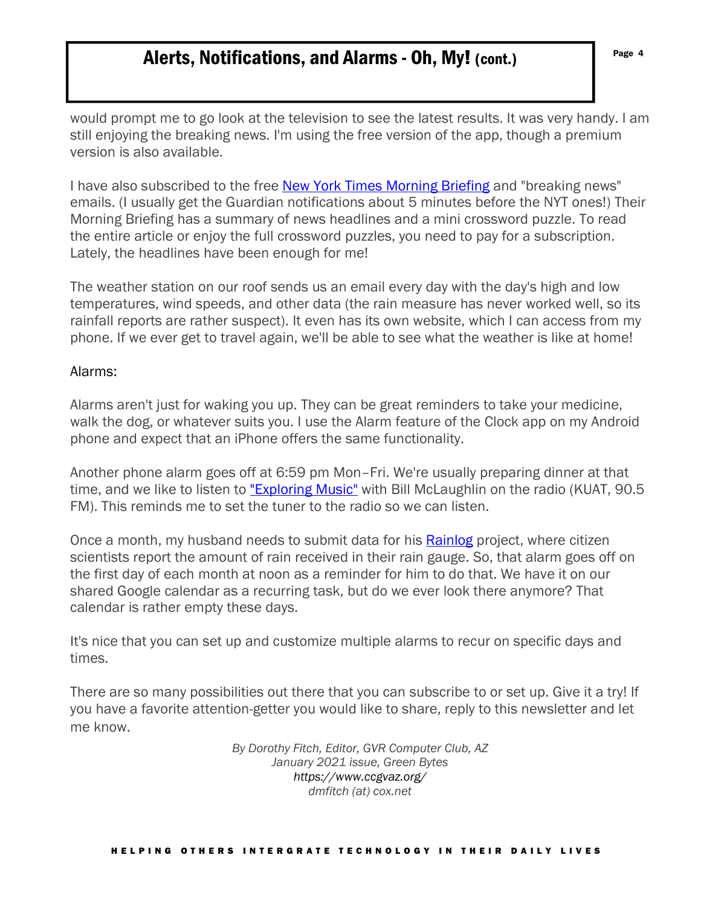## Alerts, Notifications, and Alarms - Oh, My! (cont.) Fage 4

would prompt me to go look at the television to see the latest results. It was very handy. I am still enjoying the breaking news. I'm using the free version of the app, though a premium version is also available.

I have also subscribed to the free New York Times Morning Briefing and "breaking news" emails. (I usually get the Guardian notifications about 5 minutes before the NYT ones!) Their Morning Briefing has a summary of news headlines and a mini crossword puzzle. To read the entire article or enjoy the full crossword puzzles, you need to pay for a subscription. Lately, the headlines have been enough for me!

The weather station on our roof sends us an email every day with the day's high and low temperatures, wind speeds, and other data (the rain measure has never worked well, so its rainfall reports are rather suspect). It even has its own website, which I can access from my phone. If we ever get to travel again, we'll be able to see what the weather is like at home!

#### Alarms:

Alarms aren't just for waking you up. They can be great reminders to take your medicine, walk the dog, or whatever suits you. I use the Alarm feature of the Clock app on my Android phone and expect that an iPhone offers the same functionality.

Another phone alarm goes off at 6:59 pm Mon–Fri. We're usually preparing dinner at that time, and we like to listen to "Exploring Music" with Bill McLaughlin on the radio (KUAT, 90.5 FM). This reminds me to set the tuner to the radio so we can listen.

Once a month, my husband needs to submit data for his **Rainlog** project, where citizen scientists report the amount of rain received in their rain gauge. So, that alarm goes off on the first day of each month at noon as a reminder for him to do that. We have it on our shared Google calendar as a recurring task, but do we ever look there anymore? That calendar is rather empty these days.

It's nice that you can set up and customize multiple alarms to recur on specific days and times.

There are so many possibilities out there that you can subscribe to or set up. Give it a try! If you have a favorite attention-getter you would like to share, reply to this newsletter and let me know.

> *By Dorothy Fitch, Editor, GVR Computer Club, AZ January 2021 issue, Green Bytes https://www.ccgvaz.org/ dmfitch (at) cox.net*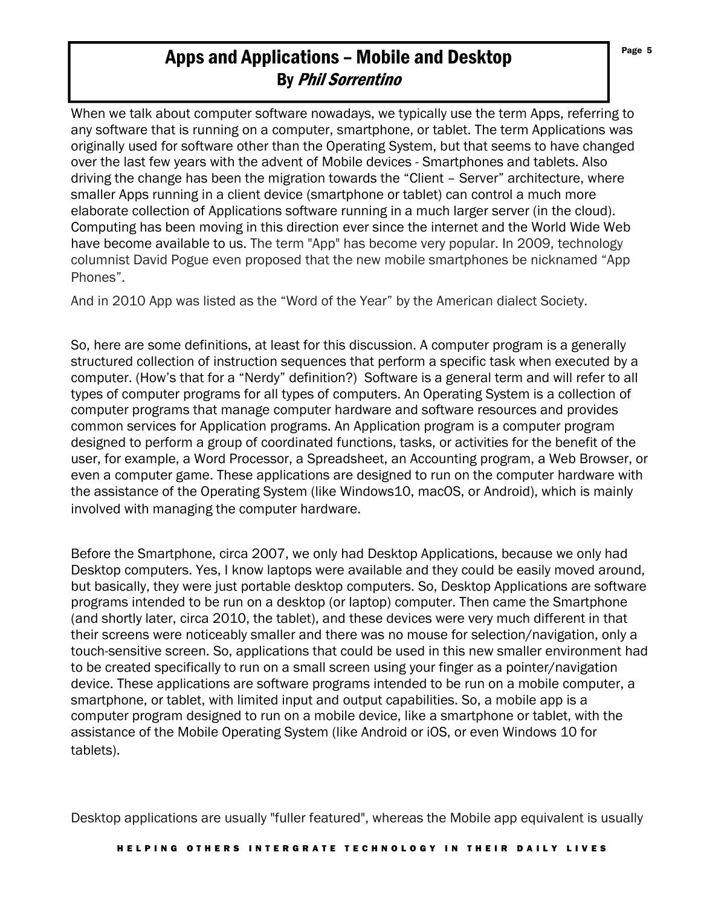# Apps and Applications – Mobile and Desktop  $\int_{\text{Page 5}}^{\text{Page 5}}$ By Phil Sorrentino

When we talk about computer software nowadays, we typically use the term Apps, referring to any software that is running on a computer, smartphone, or tablet. The term Applications was originally used for software other than the Operating System, but that seems to have changed over the last few years with the advent of Mobile devices - Smartphones and tablets. Also driving the change has been the migration towards the "Client – Server" architecture, where smaller Apps running in a client device (smartphone or tablet) can control a much more elaborate collection of Applications software running in a much larger server (in the cloud). Computing has been moving in this direction ever since the internet and the World Wide Web have become available to us. The term "App" has become very popular. In 2009, technology columnist David Pogue even proposed that the new mobile smartphones be nicknamed "App Phones".

And in 2010 App was listed as the "Word of the Year" by the American dialect Society.

So, here are some definitions, at least for this discussion. A computer program is a generally structured collection of instruction sequences that perform a specific task when executed by a computer. (How's that for a "Nerdy" definition?) Software is a general term and will refer to all types of computer programs for all types of computers. An Operating System is a collection of computer programs that manage computer hardware and software resources and provides common services for Application programs. An Application program is a computer program designed to perform a group of coordinated functions, tasks, or activities for the benefit of the user, for example, a Word Processor, a Spreadsheet, an Accounting program, a Web Browser, or even a computer game. These applications are designed to run on the computer hardware with the assistance of the Operating System (like Windows10, macOS, or Android), which is mainly involved with managing the computer hardware.

Before the Smartphone, circa 2007, we only had Desktop Applications, because we only had Desktop computers. Yes, I know laptops were available and they could be easily moved around, but basically, they were just portable desktop computers. So, Desktop Applications are software programs intended to be run on a desktop (or laptop) computer. Then came the Smartphone (and shortly later, circa 2010, the tablet), and these devices were very much different in that their screens were noticeably smaller and there was no mouse for selection/navigation, only a touch-sensitive screen. So, applications that could be used in this new smaller environment had to be created specifically to run on a small screen using your finger as a pointer/navigation device. These applications are software programs intended to be run on a mobile computer, a smartphone, or tablet, with limited input and output capabilities. So, a mobile app is a computer program designed to run on a mobile device, like a smartphone or tablet, with the assistance of the Mobile Operating System (like Android or iOS, or even Windows 10 for tablets).

Desktop applications are usually "fuller featured", whereas the Mobile app equivalent is usually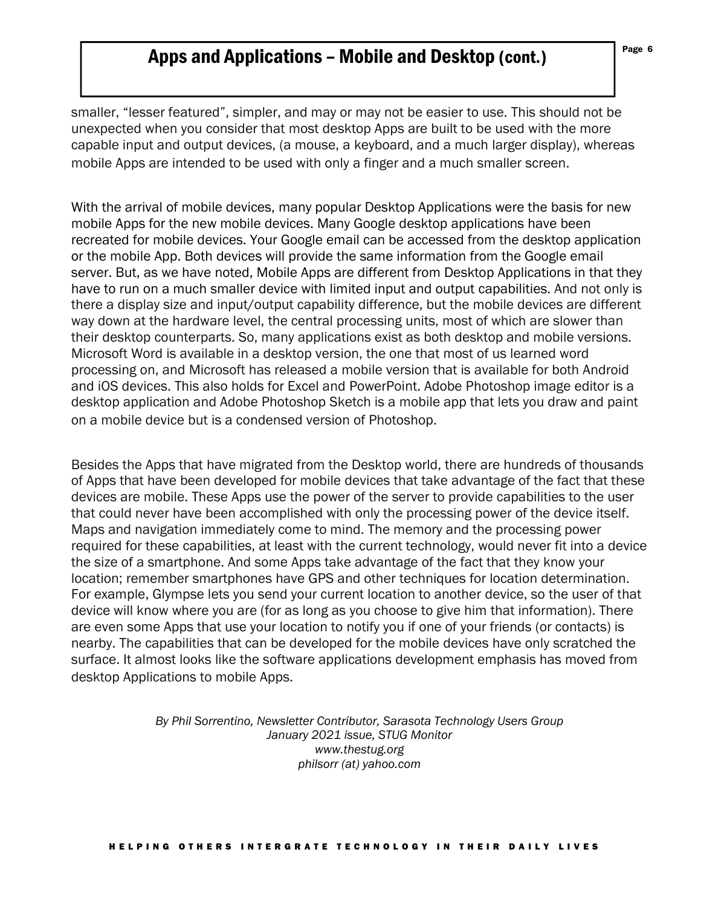## Apps and Applications – Mobile and Desktop (cont.)

smaller, "lesser featured", simpler, and may or may not be easier to use. This should not be unexpected when you consider that most desktop Apps are built to be used with the more capable input and output devices, (a mouse, a keyboard, and a much larger display), whereas mobile Apps are intended to be used with only a finger and a much smaller screen.

With the arrival of mobile devices, many popular Desktop Applications were the basis for new mobile Apps for the new mobile devices. Many Google desktop applications have been recreated for mobile devices. Your Google email can be accessed from the desktop application or the mobile App. Both devices will provide the same information from the Google email server. But, as we have noted, Mobile Apps are different from Desktop Applications in that they have to run on a much smaller device with limited input and output capabilities. And not only is there a display size and input/output capability difference, but the mobile devices are different way down at the hardware level, the central processing units, most of which are slower than their desktop counterparts. So, many applications exist as both desktop and mobile versions. Microsoft Word is available in a desktop version, the one that most of us learned word processing on, and Microsoft has released a mobile version that is available for both Android and iOS devices. This also holds for Excel and PowerPoint. Adobe Photoshop image editor is a desktop application and Adobe Photoshop Sketch is a mobile app that lets you draw and paint on a mobile device but is a condensed version of Photoshop.

Besides the Apps that have migrated from the Desktop world, there are hundreds of thousands of Apps that have been developed for mobile devices that take advantage of the fact that these devices are mobile. These Apps use the power of the server to provide capabilities to the user that could never have been accomplished with only the processing power of the device itself. Maps and navigation immediately come to mind. The memory and the processing power required for these capabilities, at least with the current technology, would never fit into a device the size of a smartphone. And some Apps take advantage of the fact that they know your location; remember smartphones have GPS and other techniques for location determination. For example, Glympse lets you send your current location to another device, so the user of that device will know where you are (for as long as you choose to give him that information). There are even some Apps that use your location to notify you if one of your friends (or contacts) is nearby. The capabilities that can be developed for the mobile devices have only scratched the surface. It almost looks like the software applications development emphasis has moved from desktop Applications to mobile Apps.

> *By Phil Sorrentino, Newsletter Contributor, Sarasota Technology Users Group January 2021 issue, STUG Monitor www.thestug.org philsorr (at) yahoo.com*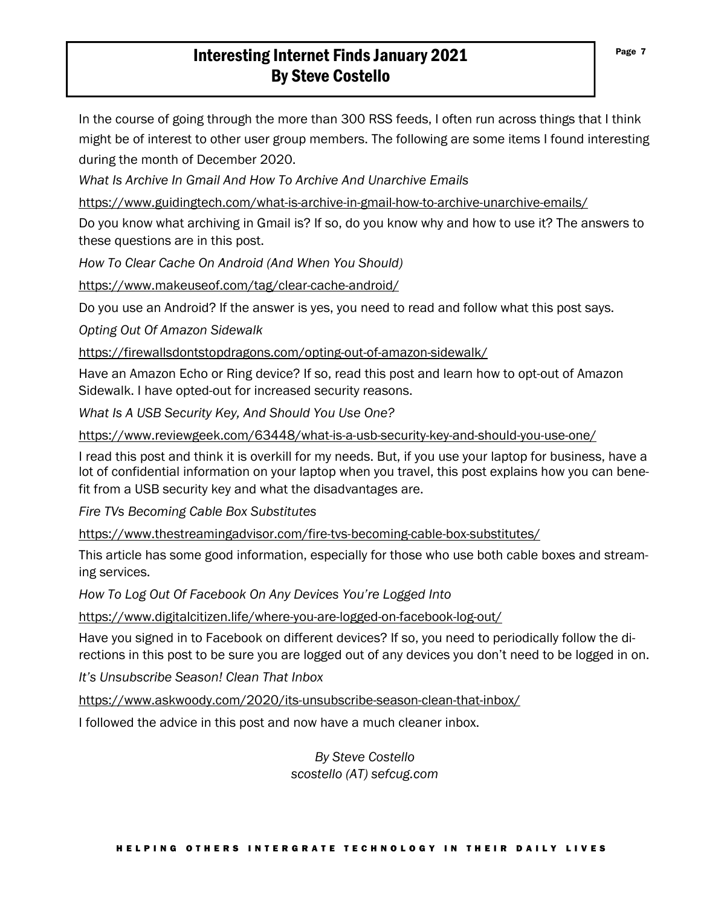### Interesting Internet Finds January 2021 By Steve Costello

In the course of going through the more than 300 RSS feeds, I often run across things that I think might be of interest to other user group members. The following are some items I found interesting during the month of December 2020.

*What Is Archive In Gmail And How To Archive And Unarchive Emails*

https://www.guidingtech.com/what-is-archive-in-gmail-how-to-archive-unarchive-emails/

Do you know what archiving in Gmail is? If so, do you know why and how to use it? The answers to these questions are in this post.

*How To Clear Cache On Android (And When You Should)* 

https://www.makeuseof.com/tag/clear-cache-android/

Do you use an Android? If the answer is yes, you need to read and follow what this post says.

*Opting Out Of Amazon Sidewalk*

https://firewallsdontstopdragons.com/opting-out-of-amazon-sidewalk/

Have an Amazon Echo or Ring device? If so, read this post and learn how to opt-out of Amazon Sidewalk. I have opted-out for increased security reasons.

*What Is A USB Security Key, And Should You Use One?*

https://www.reviewgeek.com/63448/what-is-a-usb-security-key-and-should-you-use-one/

I read this post and think it is overkill for my needs. But, if you use your laptop for business, have a lot of confidential information on your laptop when you travel, this post explains how you can benefit from a USB security key and what the disadvantages are.

*Fire TVs Becoming Cable Box Substitutes*

https://www.thestreamingadvisor.com/fire-tvs-becoming-cable-box-substitutes/

This article has some good information, especially for those who use both cable boxes and streaming services.

*How To Log Out Of Facebook On Any Devices You're Logged Into* 

https://www.digitalcitizen.life/where-you-are-logged-on-facebook-log-out/

Have you signed in to Facebook on different devices? If so, you need to periodically follow the directions in this post to be sure you are logged out of any devices you don't need to be logged in on.

*It's Unsubscribe Season! Clean That Inbox*

https://www.askwoody.com/2020/its-unsubscribe-season-clean-that-inbox/

I followed the advice in this post and now have a much cleaner inbox.

*By Steve Costello scostello (AT) sefcug.com*